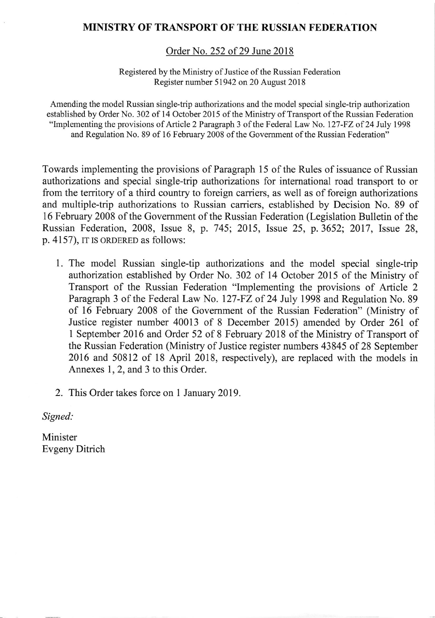# MINISTRY OF TRANSPORT OF THE RUSSIAN FEDERATION

Order No. 252 of 29 June 2018

Registered by the Ministry of Justice of the Russian Federation Register number 51942 on 20 August 2018

Amending the model Russian single-trip authorizations and the model special single-trip authorization established by Order No. 302 of 14 October 2015 of the Ministry of Transport of the Russian Federation "Implementing the provisions of Article 2 Paragraph 3 of the Federal Law No. 127-FZ of 24 July 1998 and Regulation No. 89 of 16 February 2008 of the Govemment of the Russian Federation"

Towards implementing the provisions of Paragraph l5 of the Rules of issuance of Russian authorizations and special single-trip authorizations for international road transport to or from the territory of a third country to foreign carriers, as well as of foreign authorizations and multiple-trip authorizations to Russian carriers, established by Decision No. 89 of 16 February 2008 of the Government of the Russian Federation (Legislation Bulletin of the Russian Federation, 2008, Issue 8, p. 745; 2015, Issue 25, p.3652; 2017, Issue 28, p. 4157), IT IS ORDERED as follows:

- 1. The model Russian single-tip authorizations and the model special single-trip authorization established by Order No. 302 of 14 October 2015 of the Ministry of Transport of the Russian Federation "Implementing the provisions of Article <sup>2</sup> Paragraph 3 of the Federal Law No. 127-FZ of 24 July 1998 and Regulation No. 89 of 16 February 2008 of the Government of the Russian Federation" (Ministry of Justice register number 40013 of 8 December 2015) amended by Order 261 of 1 September 2016 and Order 52 of 8 February 2018 of the Ministry of Transport of the Russian Federation (Ministry of Justice register numbers 43845 of 28 September 2016 and 50812 of 18 April 2018, respectively), are replaced with the models in Annexes 1, 2, and 3 to this Order.
- 2. This Order takes force on 1 January 2019.

Signed:

Minister Evgeny Ditrich